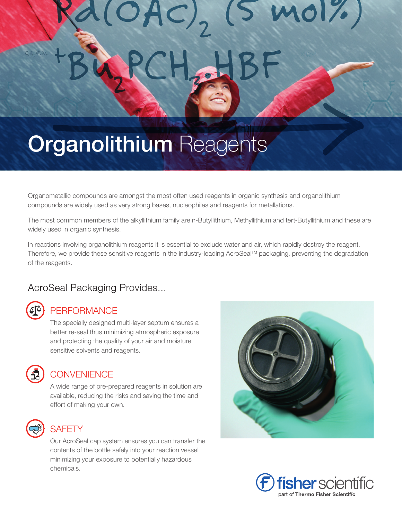# $OAC$ <sub>2</sub> SHBF

# **Organolithium Reagents**

Organometallic compounds are amongst the most often used reagents in organic synthesis and organolithium compounds are widely used as very strong bases, nucleophiles and reagents for metallations.

The most common members of the alkyllithium family are n-Butyllithium, Methyllithium and tert-Butyllithium and these are widely used in organic synthesis.

In reactions involving organolithium reagents it is essential to exclude water and air, which rapidly destroy the reagent. Therefore, we provide these sensitive reagents in the industry-leading AcroSeal™ packaging, preventing the degradation of the reagents.

## AcroSeal Packaging Provides...

## **PERFORMANCE**

The specially designed multi-layer septum ensures a better re-seal thus minimizing atmospheric exposure and protecting the quality of your air and moisture sensitive solvents and reagents.



#### **CONVENIENCE**

A wide range of pre-prepared reagents in solution are available, reducing the risks and saving the time and effort of making your own.



#### **SAFFTY**

Our AcroSeal cap system ensures you can transfer the contents of the bottle safely into your reaction vessel minimizing your exposure to potentially hazardous chemicals.